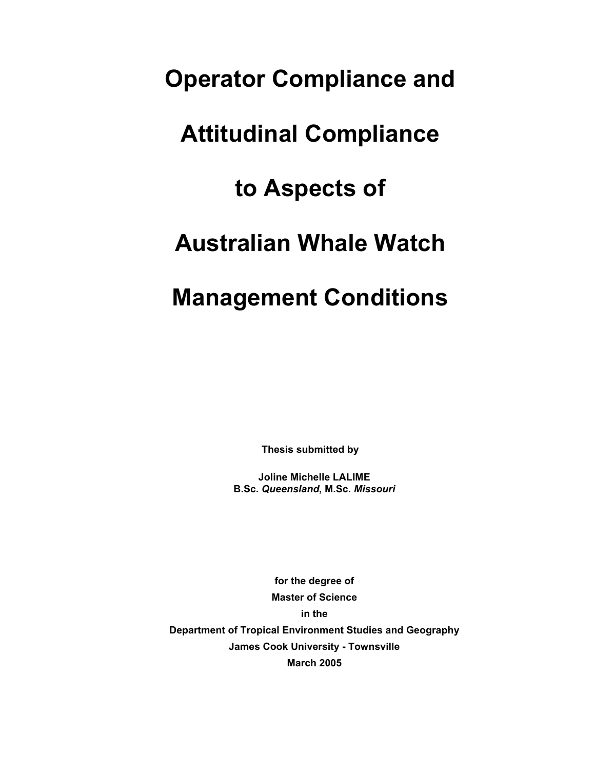# **Operator Compliance and**

# **Attitudinal Compliance**

## **to Aspects of**

## **Australian Whale Watch**

## **Management Conditions**

**Thesis submitted by** 

**Joline Michelle LALIME B.Sc.** *Queensland***, M.Sc.** *Missouri*

**for the degree of Master of Science in the Department of Tropical Environment Studies and Geography James Cook University - Townsville March 2005**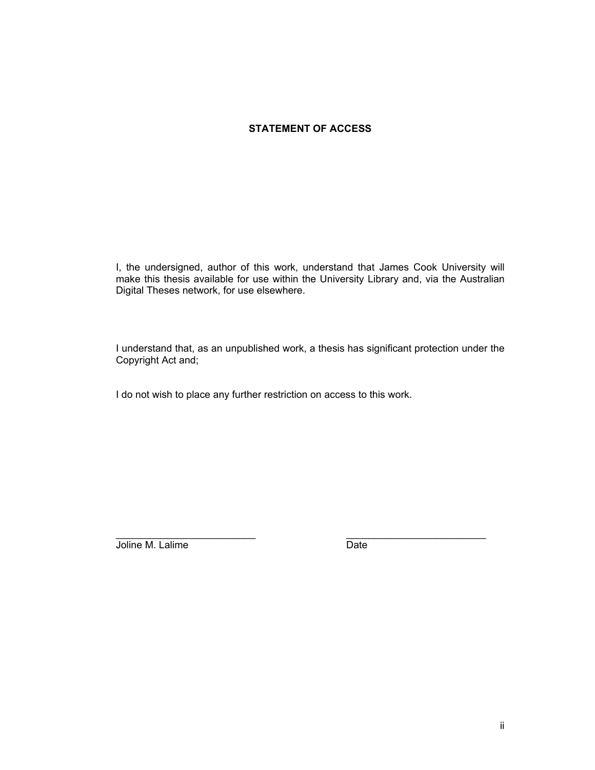### **STATEMENT OF ACCESS**

I, the undersigned, author of this work, understand that James Cook University will make this thesis available for use within the University Library and, via the Australian Digital Theses network, for use elsewhere.

I understand that, as an unpublished work, a thesis has significant protection under the Copyright Act and;

 $\overline{\phantom{a}}$  , and the contribution of the contribution of  $\overline{\phantom{a}}$  , and the contribution of  $\overline{\phantom{a}}$ 

I do not wish to place any further restriction on access to this work.

Joline M. Lalime **Date**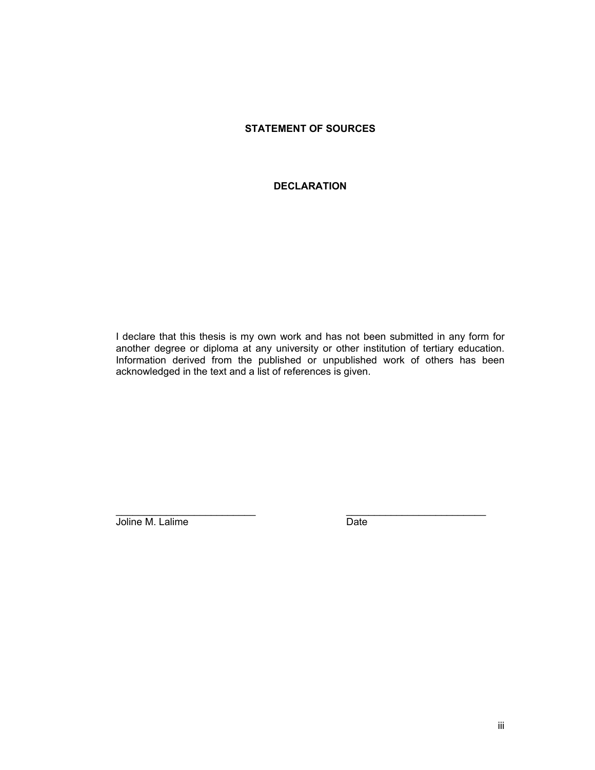### **STATEMENT OF SOURCES**

#### **DECLARATION**

I declare that this thesis is my own work and has not been submitted in any form for another degree or diploma at any university or other institution of tertiary education. Information derived from the published or unpublished work of others has been acknowledged in the text and a list of references is given.

 $\mathcal{L}_\text{max}$  , and the set of the set of the set of the set of the set of the set of the set of the set of the set of the set of the set of the set of the set of the set of the set of the set of the set of the set of the

Joline M. Lalime **Date**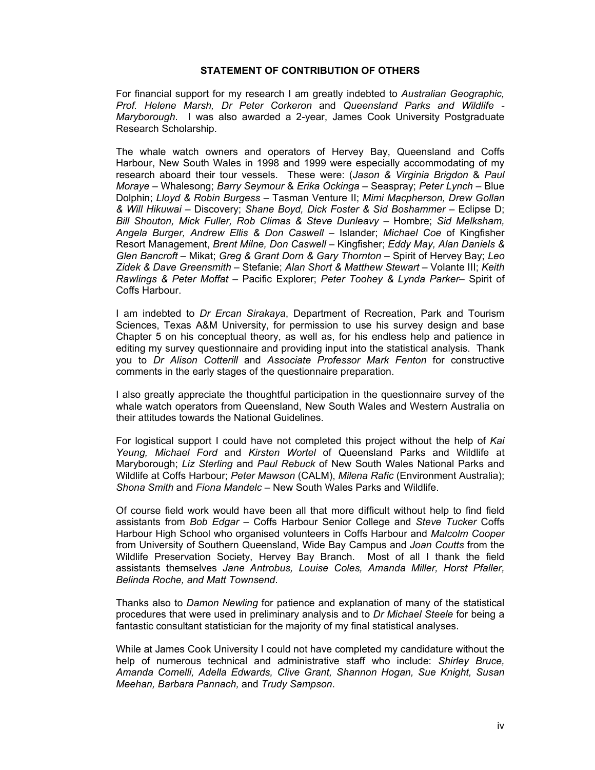#### **STATEMENT OF CONTRIBUTION OF OTHERS**

For financial support for my research I am greatly indebted to *Australian Geographic, Prof. Helene Marsh, Dr Peter Corkeron* and *Queensland Parks and Wildlife - Maryborough*. I was also awarded a 2-year, James Cook University Postgraduate Research Scholarship.

The whale watch owners and operators of Hervey Bay, Queensland and Coffs Harbour, New South Wales in 1998 and 1999 were especially accommodating of my research aboard their tour vessels. These were: (*Jason & Virginia Brigdon* & *Paul Moraye* – Whalesong; *Barry Seymour* & *Erika Ockinga* – Seaspray; *Peter Lynch* – Blue Dolphin; *Lloyd & Robin Burgess* – Tasman Venture II; *Mimi Macpherson, Drew Gollan & Will Hikuwai* – Discovery; *Shane Boyd, Dick Foster & Sid Boshammer* – Eclipse D; *Bill Shouton, Mick Fuller, Rob Climas & Steve Dunleavy* – Hombre; *Sid Melksham, Angela Burger, Andrew Ellis & Don Caswell* – Islander; *Michael Coe* of Kingfisher Resort Management, *Brent Milne, Don Caswell* – Kingfisher; *Eddy May, Alan Daniels & Glen Bancroft* – Mikat; *Greg & Grant Dorn & Gary Thornton* – Spirit of Hervey Bay; *Leo Zidek & Dave Greensmith* – Stefanie; *Alan Short & Matthew Stewart* – Volante III; *Keith Rawlings & Peter Moffat* – Pacific Explorer; *Peter Toohey & Lynda Parker*– Spirit of Coffs Harbour.

I am indebted to *Dr Ercan Sirakaya*, Department of Recreation, Park and Tourism Sciences, Texas A&M University, for permission to use his survey design and base Chapter 5 on his conceptual theory, as well as, for his endless help and patience in editing my survey questionnaire and providing input into the statistical analysis. Thank you to *Dr Alison Cotterill* and *Associate Professor Mark Fenton* for constructive comments in the early stages of the questionnaire preparation.

I also greatly appreciate the thoughtful participation in the questionnaire survey of the whale watch operators from Queensland, New South Wales and Western Australia on their attitudes towards the National Guidelines.

For logistical support I could have not completed this project without the help of *Kai Yeung, Michael Ford* and *Kirsten Wortel* of Queensland Parks and Wildlife at Maryborough; *Liz Sterling* and *Paul Rebuck* of New South Wales National Parks and Wildlife at Coffs Harbour; *Peter Mawson* (CALM), *Milena Rafic* (Environment Australia); *Shona Smith* and *Fiona Mandelc* – New South Wales Parks and Wildlife.

Of course field work would have been all that more difficult without help to find field assistants from *Bob Edgar* – Coffs Harbour Senior College and *Steve Tucker* Coffs Harbour High School who organised volunteers in Coffs Harbour and *Malcolm Cooper* from University of Southern Queensland, Wide Bay Campus and *Joan Coutts* from the Wildlife Preservation Society, Hervey Bay Branch. Most of all I thank the field assistants themselves *Jane Antrobus, Louise Coles, Amanda Miller, Horst Pfaller, Belinda Roche, and Matt Townsend*.

Thanks also to *Damon Newling* for patience and explanation of many of the statistical procedures that were used in preliminary analysis and to *Dr Michael Steele* for being a fantastic consultant statistician for the majority of my final statistical analyses.

While at James Cook University I could not have completed my candidature without the help of numerous technical and administrative staff who include: *Shirley Bruce, Amanda Comelli, Adella Edwards, Clive Grant, Shannon Hogan, Sue Knight, Susan Meehan, Barbara Pannach,* and *Trudy Sampson*.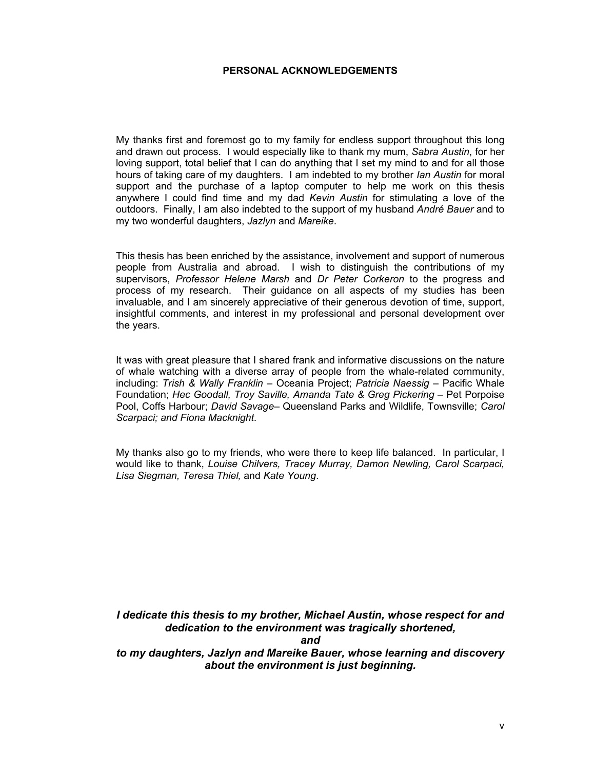#### **PERSONAL ACKNOWLEDGEMENTS**

My thanks first and foremost go to my family for endless support throughout this long and drawn out process. I would especially like to thank my mum, *Sabra Austin*, for her loving support, total belief that I can do anything that I set my mind to and for all those hours of taking care of my daughters. I am indebted to my brother *Ian Austin* for moral support and the purchase of a laptop computer to help me work on this thesis anywhere I could find time and my dad *Kevin Austin* for stimulating a love of the outdoors. Finally, I am also indebted to the support of my husband *André Bauer* and to my two wonderful daughters, *Jazlyn* and *Mareike*.

This thesis has been enriched by the assistance, involvement and support of numerous people from Australia and abroad. I wish to distinguish the contributions of my supervisors, *Professor Helene Marsh* and *Dr Peter Corkeron* to the progress and process of my research. Their guidance on all aspects of my studies has been invaluable, and I am sincerely appreciative of their generous devotion of time, support, insightful comments, and interest in my professional and personal development over the years.

It was with great pleasure that I shared frank and informative discussions on the nature of whale watching with a diverse array of people from the whale-related community, including: *Trish & Wally Franklin* – Oceania Project; *Patricia Naessig* – Pacific Whale Foundation; *Hec Goodall, Troy Saville, Amanda Tate & Greg Pickering* – Pet Porpoise Pool, Coffs Harbour; *David Savage*– Queensland Parks and Wildlife, Townsville; *Carol Scarpaci; and Fiona Macknight*.

My thanks also go to my friends, who were there to keep life balanced. In particular, I would like to thank, *Louise Chilvers, Tracey Murray, Damon Newling, Carol Scarpaci, Lisa Siegman, Teresa Thiel,* and *Kate Young*.

*I dedicate this thesis to my brother, Michael Austin, whose respect for and dedication to the environment was tragically shortened,* 

*and* 

*to my daughters, Jazlyn and Mareike Bauer, whose learning and discovery about the environment is just beginning.*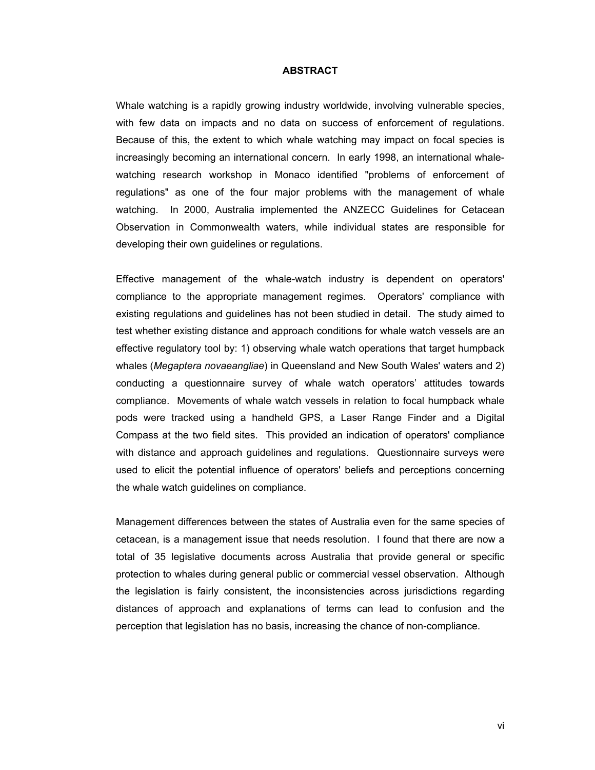#### **ABSTRACT**

Whale watching is a rapidly growing industry worldwide, involving vulnerable species, with few data on impacts and no data on success of enforcement of regulations. Because of this, the extent to which whale watching may impact on focal species is increasingly becoming an international concern. In early 1998, an international whalewatching research workshop in Monaco identified "problems of enforcement of regulations" as one of the four major problems with the management of whale watching. In 2000, Australia implemented the ANZECC Guidelines for Cetacean Observation in Commonwealth waters, while individual states are responsible for developing their own guidelines or regulations.

Effective management of the whale-watch industry is dependent on operators' compliance to the appropriate management regimes. Operators' compliance with existing regulations and guidelines has not been studied in detail. The study aimed to test whether existing distance and approach conditions for whale watch vessels are an effective regulatory tool by: 1) observing whale watch operations that target humpback whales (*Megaptera novaeangliae*) in Queensland and New South Wales' waters and 2) conducting a questionnaire survey of whale watch operators' attitudes towards compliance. Movements of whale watch vessels in relation to focal humpback whale pods were tracked using a handheld GPS, a Laser Range Finder and a Digital Compass at the two field sites. This provided an indication of operators' compliance with distance and approach guidelines and regulations. Questionnaire surveys were used to elicit the potential influence of operators' beliefs and perceptions concerning the whale watch guidelines on compliance.

Management differences between the states of Australia even for the same species of cetacean, is a management issue that needs resolution. I found that there are now a total of 35 legislative documents across Australia that provide general or specific protection to whales during general public or commercial vessel observation. Although the legislation is fairly consistent, the inconsistencies across jurisdictions regarding distances of approach and explanations of terms can lead to confusion and the perception that legislation has no basis, increasing the chance of non-compliance.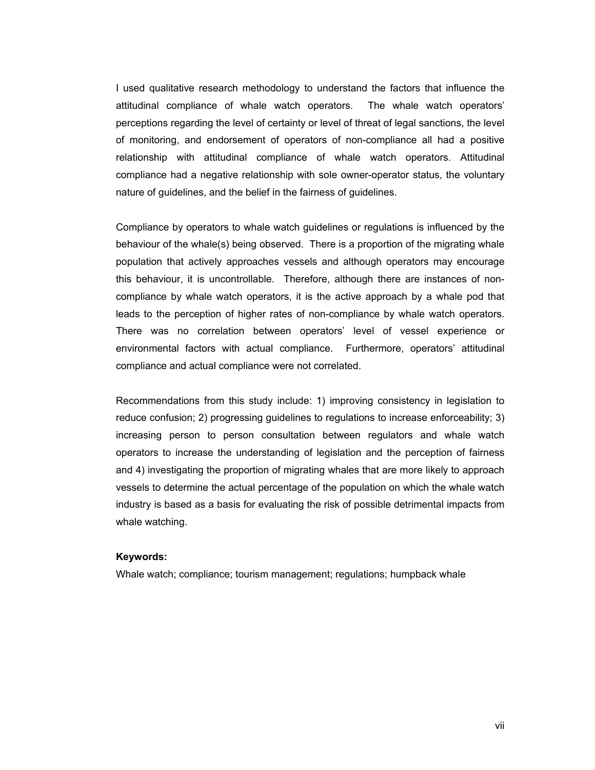I used qualitative research methodology to understand the factors that influence the attitudinal compliance of whale watch operators. The whale watch operators' perceptions regarding the level of certainty or level of threat of legal sanctions, the level of monitoring, and endorsement of operators of non-compliance all had a positive relationship with attitudinal compliance of whale watch operators. Attitudinal compliance had a negative relationship with sole owner-operator status, the voluntary nature of guidelines, and the belief in the fairness of guidelines.

Compliance by operators to whale watch guidelines or regulations is influenced by the behaviour of the whale(s) being observed. There is a proportion of the migrating whale population that actively approaches vessels and although operators may encourage this behaviour, it is uncontrollable. Therefore, although there are instances of noncompliance by whale watch operators, it is the active approach by a whale pod that leads to the perception of higher rates of non-compliance by whale watch operators. There was no correlation between operators' level of vessel experience or environmental factors with actual compliance. Furthermore, operators' attitudinal compliance and actual compliance were not correlated.

Recommendations from this study include: 1) improving consistency in legislation to reduce confusion; 2) progressing guidelines to regulations to increase enforceability; 3) increasing person to person consultation between regulators and whale watch operators to increase the understanding of legislation and the perception of fairness and 4) investigating the proportion of migrating whales that are more likely to approach vessels to determine the actual percentage of the population on which the whale watch industry is based as a basis for evaluating the risk of possible detrimental impacts from whale watching.

#### **Keywords:**

Whale watch; compliance; tourism management; regulations; humpback whale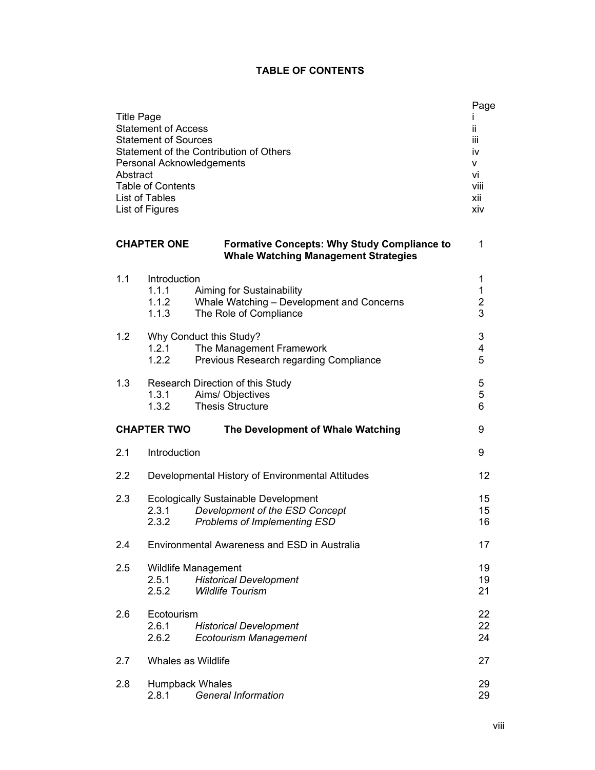## **TABLE OF CONTENTS**

| <b>Title Page</b><br><b>Statement of Access</b><br><b>Statement of Sources</b><br>Statement of the Contribution of Others<br>Personal Acknowledgements<br>Abstract<br><b>Table of Contents</b><br>List of Tables<br>List of Figures |                                                                                                                                             | Page<br>ïi<br>Ϊİ<br>iv<br>v<br>vi<br>viii<br>xii<br>xiv |
|-------------------------------------------------------------------------------------------------------------------------------------------------------------------------------------------------------------------------------------|---------------------------------------------------------------------------------------------------------------------------------------------|---------------------------------------------------------|
|                                                                                                                                                                                                                                     | <b>CHAPTER ONE</b><br><b>Formative Concepts: Why Study Compliance to</b><br><b>Whale Watching Management Strategies</b>                     | 1                                                       |
| 1.1                                                                                                                                                                                                                                 | Introduction<br>1.1.1<br>Aiming for Sustainability<br>1.1.2<br>Whale Watching - Development and Concerns<br>The Role of Compliance<br>1.1.3 | 1<br>1<br>$\frac{2}{3}$                                 |
| 1.2                                                                                                                                                                                                                                 | Why Conduct this Study?<br>1.2.1<br>The Management Framework<br>Previous Research regarding Compliance<br>1.2.2                             | 3<br>4<br>5                                             |
| 1.3                                                                                                                                                                                                                                 | Research Direction of this Study<br>Aims/ Objectives<br>1.3.1<br><b>Thesis Structure</b><br>1.3.2                                           | 5<br>5<br>6                                             |
|                                                                                                                                                                                                                                     | <b>CHAPTER TWO</b><br>The Development of Whale Watching                                                                                     | 9                                                       |
| 2.1                                                                                                                                                                                                                                 | Introduction                                                                                                                                | 9                                                       |
| 2.2                                                                                                                                                                                                                                 | Developmental History of Environmental Attitudes                                                                                            | 12                                                      |
| 2.3                                                                                                                                                                                                                                 | <b>Ecologically Sustainable Development</b><br>Development of the ESD Concept<br>2.3.1<br>Problems of Implementing ESD<br>2.3.2             | 15<br>15<br>16                                          |
| 2.4                                                                                                                                                                                                                                 | Environmental Awareness and ESD in Australia                                                                                                | 17                                                      |
| 2.5                                                                                                                                                                                                                                 | <b>Wildlife Management</b><br>2.5.1<br><b>Historical Development</b><br><b>Wildlife Tourism</b><br>2.5.2                                    | 19<br>19<br>21                                          |
| 2.6                                                                                                                                                                                                                                 | Ecotourism<br>2.6.1<br><b>Historical Development</b><br>2.6.2<br><b>Ecotourism Management</b>                                               | 22<br>22<br>24                                          |
| 2.7                                                                                                                                                                                                                                 | Whales as Wildlife                                                                                                                          | 27                                                      |
| 2.8                                                                                                                                                                                                                                 | Humpback Whales<br><b>General Information</b><br>2.8.1                                                                                      | 29<br>29                                                |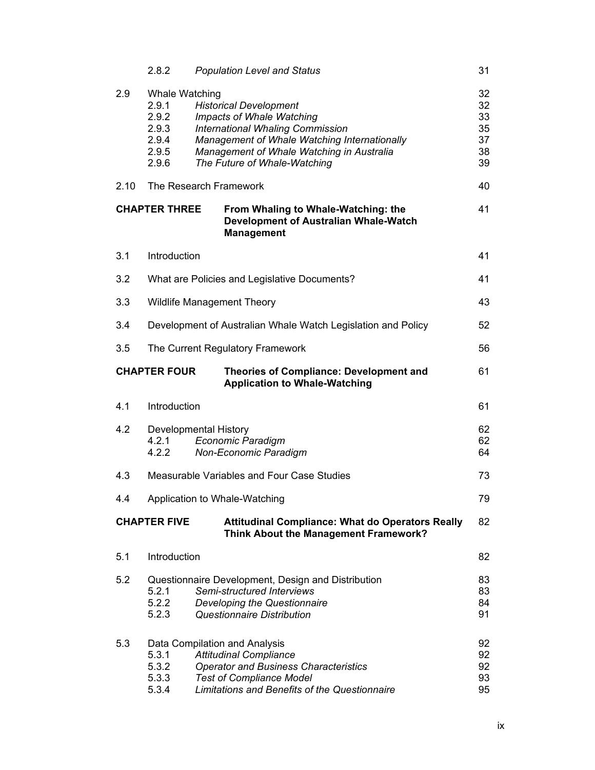|      | 2.8.2                                                                | <b>Population Level and Status</b>                                                                                                                                                                                                 | 31                                     |
|------|----------------------------------------------------------------------|------------------------------------------------------------------------------------------------------------------------------------------------------------------------------------------------------------------------------------|----------------------------------------|
| 2.9  | Whale Watching<br>2.9.1<br>2.9.2<br>2.9.3<br>2.9.4<br>2.9.5<br>2.9.6 | <b>Historical Development</b><br>Impacts of Whale Watching<br><b>International Whaling Commission</b><br>Management of Whale Watching Internationally<br>Management of Whale Watching in Australia<br>The Future of Whale-Watching | 32<br>32<br>33<br>35<br>37<br>38<br>39 |
| 2.10 |                                                                      | The Research Framework                                                                                                                                                                                                             | 40                                     |
|      | <b>CHAPTER THREE</b>                                                 | From Whaling to Whale-Watching: the<br><b>Development of Australian Whale-Watch</b><br><b>Management</b>                                                                                                                           | 41                                     |
| 3.1  | Introduction                                                         |                                                                                                                                                                                                                                    | 41                                     |
| 3.2  |                                                                      | What are Policies and Legislative Documents?                                                                                                                                                                                       | 41                                     |
| 3.3  |                                                                      | <b>Wildlife Management Theory</b>                                                                                                                                                                                                  | 43                                     |
| 3.4  |                                                                      | Development of Australian Whale Watch Legislation and Policy                                                                                                                                                                       | 52                                     |
| 3.5  |                                                                      | The Current Regulatory Framework                                                                                                                                                                                                   | 56                                     |
|      | <b>CHAPTER FOUR</b>                                                  | <b>Theories of Compliance: Development and</b><br><b>Application to Whale-Watching</b>                                                                                                                                             | 61                                     |
| 4.1  | Introduction                                                         |                                                                                                                                                                                                                                    | 61                                     |
| 4.2  | 4.2.1<br>4.2.2                                                       | Developmental History<br><b>Economic Paradigm</b><br>Non-Economic Paradigm                                                                                                                                                         | 62<br>62<br>64                         |
| 4.3  |                                                                      | Measurable Variables and Four Case Studies                                                                                                                                                                                         | 73                                     |
| 4.4  |                                                                      | Application to Whale-Watching                                                                                                                                                                                                      | 79                                     |
|      | <b>CHAPTER FIVE</b>                                                  | <b>Attitudinal Compliance: What do Operators Really</b><br>Think About the Management Framework?                                                                                                                                   | 82                                     |
| 5.1  | Introduction                                                         |                                                                                                                                                                                                                                    | 82                                     |
| 5.2  | 5.2.1<br>5.2.2<br>5.2.3                                              | Questionnaire Development, Design and Distribution<br>Semi-structured Interviews<br>Developing the Questionnaire<br><b>Questionnaire Distribution</b>                                                                              | 83<br>83<br>84<br>91                   |
| 5.3  | 5.3.1<br>5.3.2<br>5.3.3<br>5.3.4                                     | Data Compilation and Analysis<br><b>Attitudinal Compliance</b><br><b>Operator and Business Characteristics</b><br><b>Test of Compliance Model</b><br>Limitations and Benefits of the Questionnaire                                 | 92<br>92<br>92<br>93<br>95             |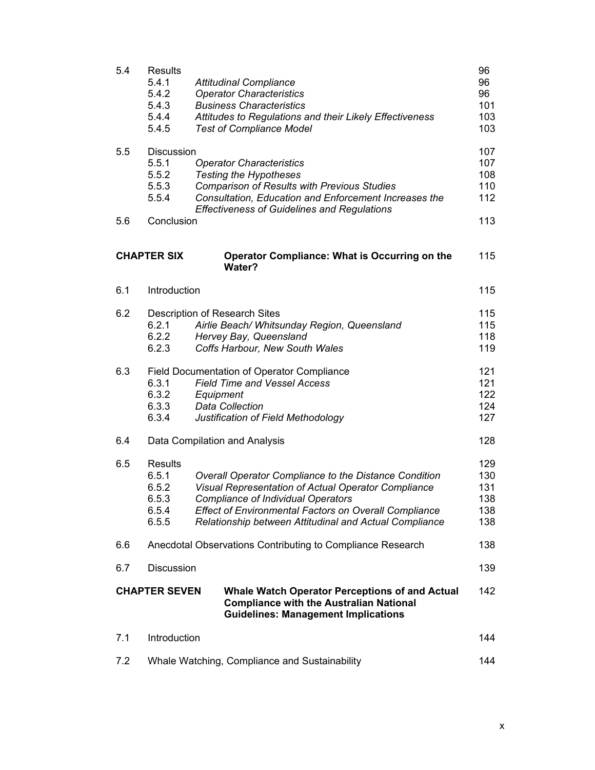| 5.4 | <b>Results</b><br>5.4.1<br>5.4.2<br>5.4.3<br>5.4.4<br>5.4.5 | <b>Attitudinal Compliance</b><br><b>Operator Characteristics</b><br><b>Business Characteristics</b><br>Attitudes to Regulations and their Likely Effectiveness<br><b>Test of Compliance Model</b>                                                                                   | 96<br>96<br>96<br>101<br>103<br>103    |
|-----|-------------------------------------------------------------|-------------------------------------------------------------------------------------------------------------------------------------------------------------------------------------------------------------------------------------------------------------------------------------|----------------------------------------|
| 5.5 | <b>Discussion</b><br>5.5.1<br>5.5.2<br>5.5.3<br>5.5.4       | <b>Operator Characteristics</b><br><b>Testing the Hypotheses</b><br><b>Comparison of Results with Previous Studies</b><br>Consultation, Education and Enforcement Increases the<br><b>Effectiveness of Guidelines and Regulations</b>                                               | 107<br>107<br>108<br>110<br>112        |
| 5.6 | Conclusion                                                  |                                                                                                                                                                                                                                                                                     | 113                                    |
|     | <b>CHAPTER SIX</b>                                          | Operator Compliance: What is Occurring on the<br>Water?                                                                                                                                                                                                                             | 115                                    |
| 6.1 | Introduction                                                |                                                                                                                                                                                                                                                                                     | 115                                    |
| 6.2 | 6.2.1<br>6.2.2<br>6.2.3                                     | Description of Research Sites<br>Airlie Beach/ Whitsunday Region, Queensland<br>Hervey Bay, Queensland<br>Coffs Harbour, New South Wales                                                                                                                                            | 115<br>115<br>118<br>119               |
| 6.3 | 6.3.1<br>6.3.2<br>6.3.3<br>6.3.4                            | <b>Field Documentation of Operator Compliance</b><br><b>Field Time and Vessel Access</b><br>Equipment<br><b>Data Collection</b><br>Justification of Field Methodology                                                                                                               | 121<br>121<br>122<br>124<br>127        |
| 6.4 |                                                             | Data Compilation and Analysis                                                                                                                                                                                                                                                       | 128                                    |
| 6.5 | <b>Results</b><br>6.5.1<br>6.5.2<br>6.5.3<br>6.5.4<br>6.5.5 | Overall Operator Compliance to the Distance Condition<br>Visual Representation of Actual Operator Compliance<br><b>Compliance of Individual Operators</b><br><b>Effect of Environmental Factors on Overall Compliance</b><br>Relationship between Attitudinal and Actual Compliance | 129<br>130<br>131<br>138<br>138<br>138 |
| 6.6 |                                                             | Anecdotal Observations Contributing to Compliance Research                                                                                                                                                                                                                          | 138                                    |
| 6.7 | Discussion                                                  |                                                                                                                                                                                                                                                                                     | 139                                    |
|     | <b>CHAPTER SEVEN</b>                                        | <b>Whale Watch Operator Perceptions of and Actual</b><br><b>Compliance with the Australian National</b><br><b>Guidelines: Management Implications</b>                                                                                                                               | 142                                    |
| 7.1 | Introduction                                                |                                                                                                                                                                                                                                                                                     | 144                                    |
| 7.2 |                                                             | Whale Watching, Compliance and Sustainability                                                                                                                                                                                                                                       | 144                                    |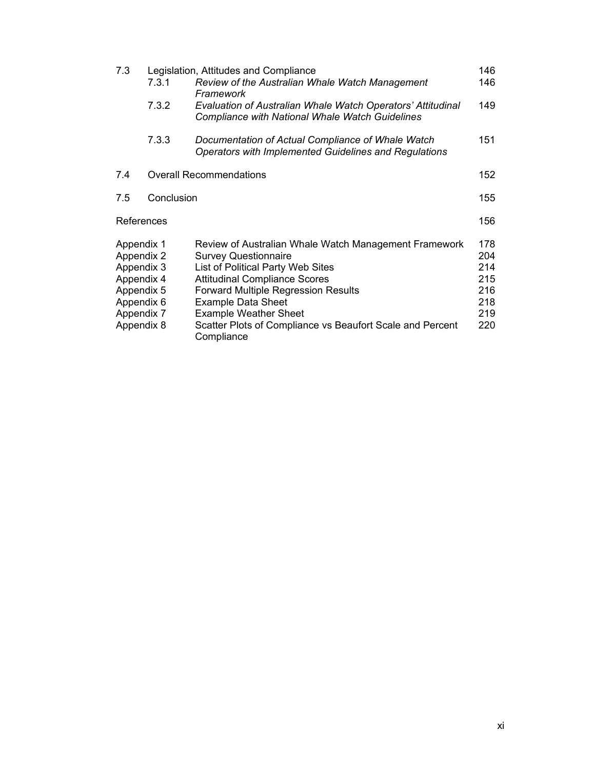| 7.3.1                                                                                                        | Review of the Australian Whale Watch Management                                                                                                                                                                                                                                                                                           | 146<br>146                                                                                                       |
|--------------------------------------------------------------------------------------------------------------|-------------------------------------------------------------------------------------------------------------------------------------------------------------------------------------------------------------------------------------------------------------------------------------------------------------------------------------------|------------------------------------------------------------------------------------------------------------------|
| 7.3.2                                                                                                        | Evaluation of Australian Whale Watch Operators' Attitudinal<br><b>Compliance with National Whale Watch Guidelines</b>                                                                                                                                                                                                                     | 149                                                                                                              |
| 7.3.3                                                                                                        | Documentation of Actual Compliance of Whale Watch<br>Operators with Implemented Guidelines and Regulations                                                                                                                                                                                                                                | 151                                                                                                              |
|                                                                                                              |                                                                                                                                                                                                                                                                                                                                           | 152                                                                                                              |
|                                                                                                              |                                                                                                                                                                                                                                                                                                                                           | 155                                                                                                              |
| References                                                                                                   |                                                                                                                                                                                                                                                                                                                                           | 156                                                                                                              |
| Appendix 1<br>Appendix 2<br>Appendix 3<br>Appendix 4<br>Appendix 5<br>Appendix 6<br>Appendix 7<br>Appendix 8 | Review of Australian Whale Watch Management Framework<br><b>Survey Questionnaire</b><br>List of Political Party Web Sites<br><b>Attitudinal Compliance Scores</b><br><b>Forward Multiple Regression Results</b><br><b>Example Data Sheet</b><br><b>Example Weather Sheet</b><br>Scatter Plots of Compliance vs Beaufort Scale and Percent | 178<br>204<br>214<br>215<br>216<br>218<br>219<br>220                                                             |
|                                                                                                              |                                                                                                                                                                                                                                                                                                                                           | Legislation, Attitudes and Compliance<br>Framework<br><b>Overall Recommendations</b><br>Conclusion<br>Compliance |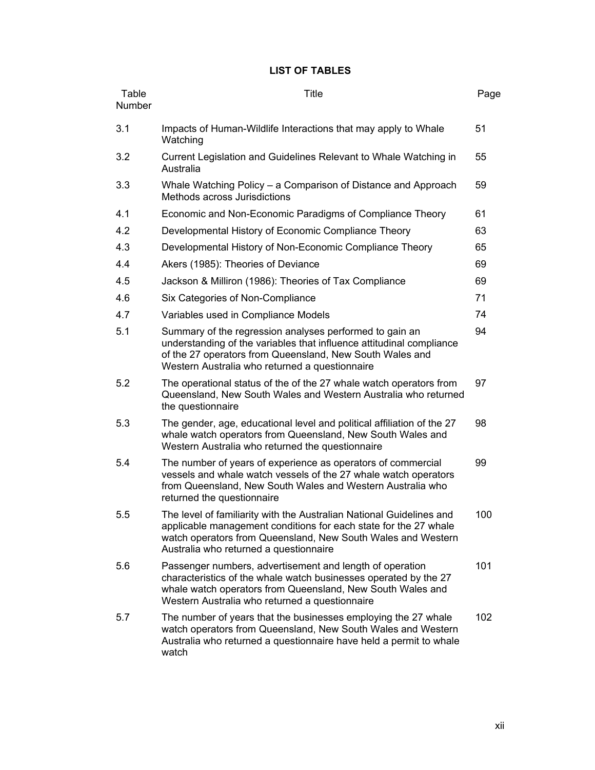## **LIST OF TABLES**

| Table<br>Number | <b>Title</b>                                                                                                                                                                                                                                       | Page |
|-----------------|----------------------------------------------------------------------------------------------------------------------------------------------------------------------------------------------------------------------------------------------------|------|
| 3.1             | Impacts of Human-Wildlife Interactions that may apply to Whale<br>Watching                                                                                                                                                                         | 51   |
| 3.2             | Current Legislation and Guidelines Relevant to Whale Watching in<br>Australia                                                                                                                                                                      | 55   |
| 3.3             | Whale Watching Policy – a Comparison of Distance and Approach<br>Methods across Jurisdictions                                                                                                                                                      | 59   |
| 4.1             | Economic and Non-Economic Paradigms of Compliance Theory                                                                                                                                                                                           | 61   |
| 4.2             | Developmental History of Economic Compliance Theory                                                                                                                                                                                                | 63   |
| 4.3             | Developmental History of Non-Economic Compliance Theory                                                                                                                                                                                            | 65   |
| 4.4             | Akers (1985): Theories of Deviance                                                                                                                                                                                                                 | 69   |
| 4.5             | Jackson & Milliron (1986): Theories of Tax Compliance                                                                                                                                                                                              | 69   |
| 4.6             | Six Categories of Non-Compliance                                                                                                                                                                                                                   | 71   |
| 4.7             | Variables used in Compliance Models                                                                                                                                                                                                                | 74   |
| 5.1             | Summary of the regression analyses performed to gain an<br>understanding of the variables that influence attitudinal compliance<br>of the 27 operators from Queensland, New South Wales and<br>Western Australia who returned a questionnaire      | 94   |
| 5.2             | The operational status of the of the 27 whale watch operators from<br>Queensland, New South Wales and Western Australia who returned<br>the questionnaire                                                                                          | 97   |
| 5.3             | The gender, age, educational level and political affiliation of the 27<br>whale watch operators from Queensland, New South Wales and<br>Western Australia who returned the questionnaire                                                           | 98   |
| 5.4             | The number of years of experience as operators of commercial<br>vessels and whale watch vessels of the 27 whale watch operators<br>from Queensland, New South Wales and Western Australia who<br>returned the questionnaire                        | 99   |
| 5.5             | The level of familiarity with the Australian National Guidelines and<br>applicable management conditions for each state for the 27 whale<br>watch operators from Queensland, New South Wales and Western<br>Australia who returned a questionnaire | 100  |
| 5.6             | Passenger numbers, advertisement and length of operation<br>characteristics of the whale watch businesses operated by the 27<br>whale watch operators from Queensland, New South Wales and<br>Western Australia who returned a questionnaire       | 101  |
| 5.7             | The number of years that the businesses employing the 27 whale<br>watch operators from Queensland, New South Wales and Western<br>Australia who returned a questionnaire have held a permit to whale<br>watch                                      | 102  |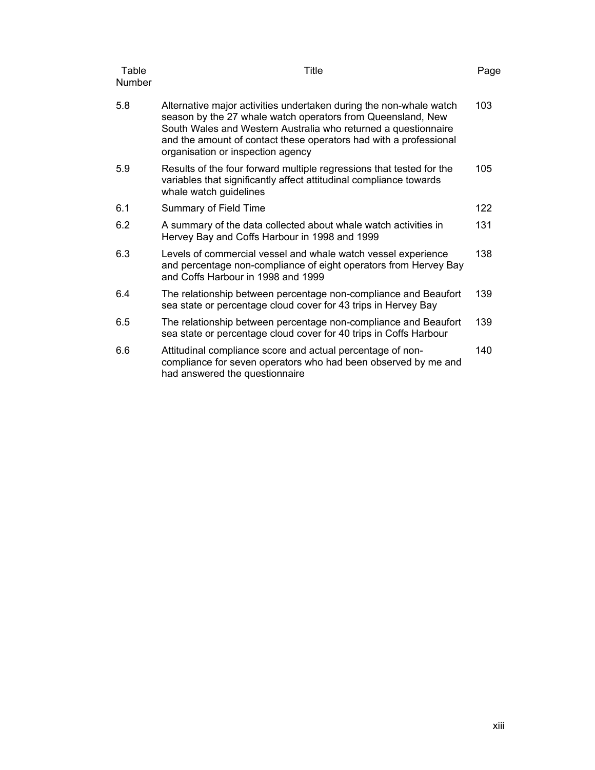| Table<br><b>Number</b> | Title                                                                                                                                                                                                                                                                                                         | Page |
|------------------------|---------------------------------------------------------------------------------------------------------------------------------------------------------------------------------------------------------------------------------------------------------------------------------------------------------------|------|
| 5.8                    | Alternative major activities undertaken during the non-whale watch<br>season by the 27 whale watch operators from Queensland, New<br>South Wales and Western Australia who returned a questionnaire<br>and the amount of contact these operators had with a professional<br>organisation or inspection agency | 103  |
| 5.9                    | Results of the four forward multiple regressions that tested for the<br>variables that significantly affect attitudinal compliance towards<br>whale watch guidelines                                                                                                                                          | 105  |
| 6.1                    | Summary of Field Time                                                                                                                                                                                                                                                                                         | 122  |
| 6.2                    | A summary of the data collected about whale watch activities in<br>Hervey Bay and Coffs Harbour in 1998 and 1999                                                                                                                                                                                              | 131  |
| 6.3                    | Levels of commercial vessel and whale watch vessel experience<br>and percentage non-compliance of eight operators from Hervey Bay<br>and Coffs Harbour in 1998 and 1999                                                                                                                                       | 138  |
| 6.4                    | The relationship between percentage non-compliance and Beaufort<br>sea state or percentage cloud cover for 43 trips in Hervey Bay                                                                                                                                                                             | 139  |
| 6.5                    | The relationship between percentage non-compliance and Beaufort<br>sea state or percentage cloud cover for 40 trips in Coffs Harbour                                                                                                                                                                          | 139  |
| 6.6                    | Attitudinal compliance score and actual percentage of non-<br>compliance for seven operators who had been observed by me and<br>had answered the questionnaire                                                                                                                                                | 140  |